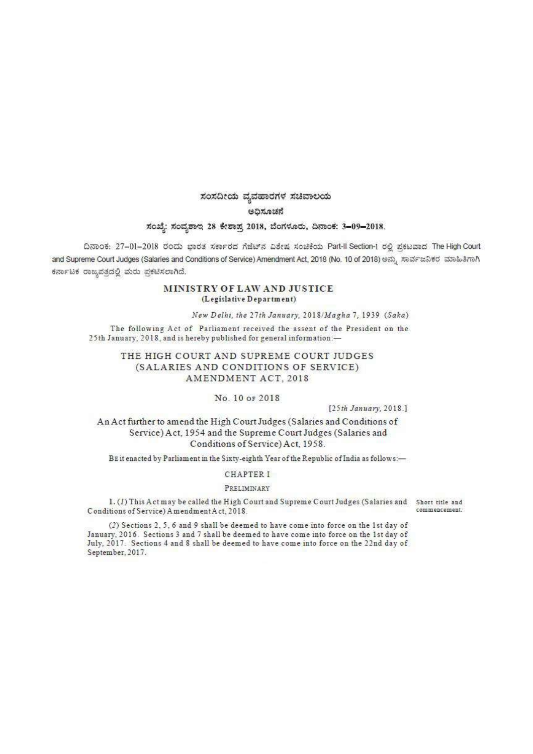# ಸಂಸದೀಯ ವ್ಯವಹಾರಗಳ ಸಚಿವಾಲಯ ಅಧಿಸೂಚನೆ

## ಸಂಖ್ಯೆ: ಸಂವೃಶಾಲ 28 ಕೇಶಾಪ್ರ 2018, ಬೆಂಗಳೂರು, ದಿನಾಂಕ: 3-09-2018.

ದಿನಾಂಕ: 27-01-2018 ರಂದು ಭಾರತ ಸರ್ಕಾರದ ಗೆಜೆಟ್ ನ ವಿಶೇಷ ಸಂಚಿಕೆಯ Part-II Section-1 ರಲ್ಲಿ ಪ್ರಕಟವಾದ The High Court and Supreme Court Judges (Salaries and Conditions of Service) Amendment Act, 2018 (No. 10 of 2018) ಅನ್ನು ಸಾರ್ವಜನಿಕರ ಮಾಹಿತಿಗಾಗಿ ಕರ್ನಾಟಕ ರಾಜ್ಯಪತ್ರದಲ್ಲಿ ಮರು ಪ್ರಕಟಿಸಲಾಗಿದೆ.

## MINISTRY OF LAW AND JUSTICE (Legislative Department)

New Delhi, the 27th January, 2018/Magha 7, 1939 (Saka)

The following Act of Parliament received the assent of the President on the 25th January, 2018, and is hereby published for general information:-

## THE HIGH COURT AND SUPREME COURT JUDGES (SALARIES AND CONDITIONS OF SERVICE) AMENDMENT ACT. 2018

## No. 10 or 2018

[25th January, 2018.]

An Act further to amend the High Court Judges (Salaries and Conditions of Service) Act, 1954 and the Supreme Court Judges (Salaries and Conditions of Service) Act, 1958.

BE it enacted by Parliament in the Sixty-eighth Year of the Republic of India as follows:-

### **CHAPTER I**

#### PRELIMINARY

1. (1) This Act may be called the High Court and Supreme Court Judges (Salaries and Short title and Conditions of Service) Amendment Act, 2018.

(2) Sections 2, 5, 6 and 9 shall be deemed to have come into force on the 1st day of January, 2016. Sections 3 and 7 shall be deemed to have come into force on the 1st day of July, 2017. Sections 4 and 8 shall be deemed to have come into force on the 22nd day of September, 2017.

commencement.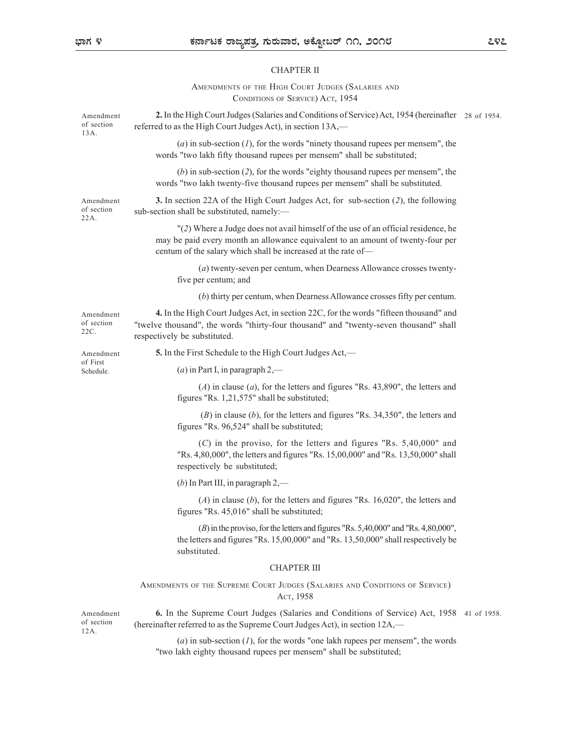#### CHAPTER II

EXECTIVE THE HIGH COURT JUDGES (SALARIES AND<br>
CHAPTER II<br>
AMENDMENTS OF THE HIGH COURT JUDGES (SALARIES AND<br>
CONDITIONS OF SERVICE) ACT, 1954<br>
igh Court Judges (Salaries and Conditions of Service) Act, 1954 (hereinafter 28 azzy notices, et al. (2016)<br>
CHAPTER II<br>
CHAPTER II<br>
The Society of Service CONDITIONS OF SERVICE) Act, 1954<br>
CONDITIONS OF SERVICE) Act, 1954<br>
Indees (Salaries and Conditions of Service) Act, 1954 (hereinafter 28 of 1954. Amendment 2. In the High Court Judges (Salaries and Conditions of Service) Act, 1954 (hereinafter 28 of 1954. referred to as the High Court Judges Act), in section 13A,— of section (a) in sub-section  $(1)$ , for the words "ninety thousand rupees per mensem", the words "two lakh fifty thousand rupees per mensem" shall be substituted; (b) in sub-section (2), for the words "eighty thousand rupees per mensem", the words "two lakh twenty-five thousand rupees per mensem" shall be substituted. Amendment 3. In section 22A of the High Court Judges Act, for sub-section (2), the following sub-section shall be substituted, namely:— of section "(2) Where a Judge does not avail himself of the use of an official residence, he may be paid every month an allowance equivalent to an amount of twenty-four per centum of the salary which shall be increased at the rate of— (a) twenty-seven per centum, when Dearness Allowance crosses twentyfive per centum; and (b) thirty per centum, when Dearness Allowance crosses fifty per centum. Amendment **4.** In the High Court Judges Act, in section 22C, for the words "fifteen thousand" and "twelve thousand", the words "thirty-four thousand" and "twenty-seven thousand" shall of section respectively be substituted. 22C. Amendment 5. In the First Schedule to the High Court Judges Act,— (*a*) in Part I, in paragraph  $2$ ,—  $(A)$  in clause  $(a)$ , for the letters and figures "Rs. 43,890", the letters and figures "Rs. 1,21,575" shall be substituted; (B) in clause (b), for the letters and figures "Rs. 34,350", the letters and figures "Rs. 96,524" shall be substituted; (C) in the proviso, for the letters and figures "Rs. 5,40,000" and "Rs. 4,80,000", the letters and figures "Rs. 15,00,000" and "Rs. 13,50,000" shall respectively be substituted; (b) In Part III, in paragraph  $2$ ,—  $(A)$  in clause  $(b)$ , for the letters and figures "Rs. 16,020", the letters and figures "Rs. 45,016" shall be substituted; (B) in the proviso, for the letters and figures "Rs. 5,40,000" and "Rs. 4,80,000", the letters and figures "Rs. 15,00,000" and "Rs. 13,50,000" shall respectively be substituted. CHAPTER III **5.** In the First Sekedule to the High Court Judges Act,—<br>
(a) in Part I, in paragraph 2,—<br>
(A) in clause (a), for the letters and figures "Rs. 43,890", the letters and<br>
figures "Rs. 1,21,575" shall be substituted;<br>
(C) i ACT, 1958 Amendment **6.** In the Supreme Court Judges (Salaries and Conditions of Service) Act, 1958 41 of 1958. (hereinafter referred to as the Supreme Court Judges Act), in section 12A,— of section 22A. 13A. of First Schedule. 12A.

(a) in sub-section  $(1)$ , for the words "one lakh rupees per mensem", the words "two lakh eighty thousand rupees per mensem" shall be substituted;